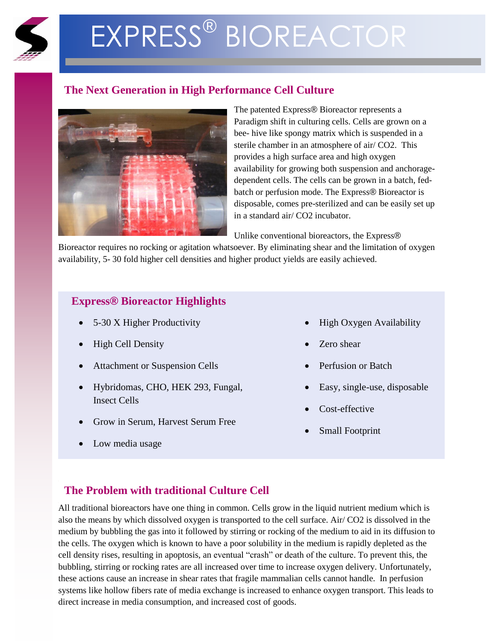

# EXPRESS® BIOREACTOR

# **The Next Generation in High Performance Cell Culture**



The patented Express® Bioreactor represents a Paradigm shift in culturing cells. Cells are grown on a bee- hive like spongy matrix which is suspended in a sterile chamber in an atmosphere of air/ CO2. This provides a high surface area and high oxygen availability for growing both suspension and anchoragedependent cells. The cells can be grown in a batch, fedbatch or perfusion mode. The Express® Bioreactor is disposable, comes pre-sterilized and can be easily set up in a standard air/ CO2 incubator.

Unlike conventional bioreactors, the Express®

Bioreactor requires no rocking or agitation whatsoever. By eliminating shear and the limitation of oxygen availability, 5- 30 fold higher cell densities and higher product yields are easily achieved.

## **Express® Bioreactor Highlights**

- 5-30 X Higher Productivity
- High Cell Density
- Attachment or Suspension Cells
- Hybridomas, CHO, HEK 293, Fungal, Insect Cells
- Grow in Serum, Harvest Serum Free
- Low media usage
- High Oxygen Availability
- Zero shear
- Perfusion or Batch
- Easy, single-use, disposable
- Cost-effective
- Small Footprint

## **The Problem with traditional Culture Cell**

All traditional bioreactors have one thing in common. Cells grow in the liquid nutrient medium which is also the means by which dissolved oxygen is transported to the cell surface. Air/ CO2 is dissolved in the medium by bubbling the gas into it followed by stirring or rocking of the medium to aid in its diffusion to the cells. The oxygen which is known to have a poor solubility in the medium is rapidly depleted as the cell density rises, resulting in apoptosis, an eventual "crash" or death of the culture. To prevent this, the bubbling, stirring or rocking rates are all increased over time to increase oxygen delivery. Unfortunately, these actions cause an increase in shear rates that fragile mammalian cells cannot handle. In perfusion systems like hollow fibers rate of media exchange is increased to enhance oxygen transport. This leads to direct increase in media consumption, and increased cost of goods.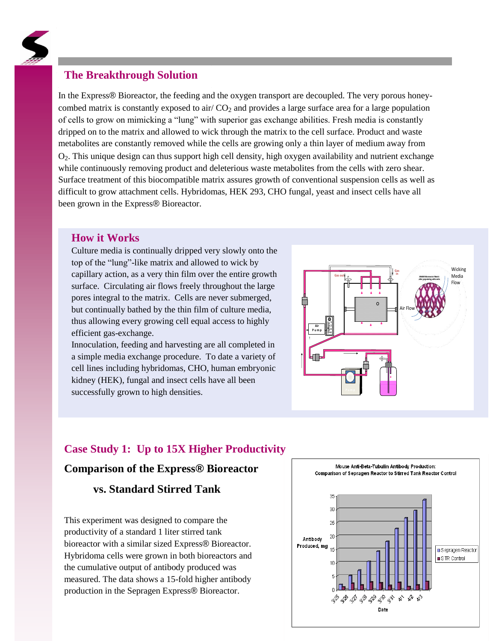

### **The Breakthrough Solution**

In the Express® Bioreactor, the feeding and the oxygen transport are decoupled. The very porous honeycombed matrix is constantly exposed to air/  $CO<sub>2</sub>$  and provides a large surface area for a large population of cells to grow on mimicking a "lung" with superior gas exchange abilities. Fresh media is constantly dripped on to the matrix and allowed to wick through the matrix to the cell surface. Product and waste metabolites are constantly removed while the cells are growing only a thin layer of medium away from O2. This unique design can thus support high cell density, high oxygen availability and nutrient exchange while continuously removing product and deleterious waste metabolites from the cells with zero shear. Surface treatment of this biocompatible matrix assures growth of conventional suspension cells as well as difficult to grow attachment cells. Hybridomas, HEK 293, CHO fungal, yeast and insect cells have all been grown in the Express® Bioreactor.

#### **How it Works**

Culture media is continually dripped very slowly onto the top of the "lung"-like matrix and allowed to wick by capillary action, as a very thin film over the entire growth surface. Circulating air flows freely throughout the large pores integral to the matrix. Cells are never submerged, but continually bathed by the thin film of culture media, thus allowing every growing cell equal access to highly efficient gas-exchange.

Innoculation, feeding and harvesting are all completed in a simple media exchange procedure. To date a variety of cell lines including hybridomas, CHO, human embryonic kidney (HEK), fungal and insect cells have all been successfully grown to high densities.



#### **Case Study 1: Up to 15X Higher Productivity**

#### **Comparison of the Express® Bioreactor**

#### **vs. Standard Stirred Tank**

This experiment was designed to compare the productivity of a standard 1 liter stirred tank bioreactor with a similar sized Express® Bioreactor. Hybridoma cells were grown in both bioreactors and the cumulative output of antibody produced was measured. The data shows a 15-fold higher antibody production in the Sepragen Express® Bioreactor.

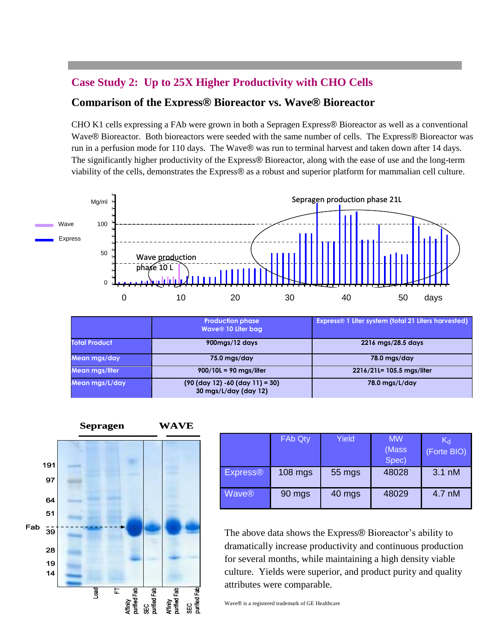# **Case Study 2: Up to 25X Higher Productivity with CHO Cells**

#### **Comparison of the Express® Bioreactor vs. Wave® Bioreactor**

CHO K1 cells expressing a FAb were grown in both a Sepragen Express® Bioreactor as well as a conventional Wave® Bioreactor. Both bioreactors were seeded with the same number of cells. The Express® Bioreactor was run in a perfusion mode for 110 days. The Wave® was run to terminal harvest and taken down after 14 days. The significantly higher productivity of the Express® Bioreactor, along with the ease of use and the long-term viability of the cells, demonstrates the Express® as a robust and superior platform for mammalian cell culture.



|                      | <b>Production phase</b><br>Wave® 10 Liter bag,              | Express® 1 Liter system (total 21 Liters harvested) |  |
|----------------------|-------------------------------------------------------------|-----------------------------------------------------|--|
| <b>Total Product</b> | 900mgs/12 days                                              | 2216 mgs/28.5 days                                  |  |
| Mean mgs/day         | 75.0 mgs/day                                                | 78.0 mgs/day                                        |  |
| Mean mas/liter       | $900/10L = 90$ mgs/liter                                    | 2216/21L= 105.5 mgs/liter                           |  |
| Mean mgs/L/day       | $(90 (day 12) - 60 (day 11) = 30)$<br>30 mgs/L/day (day 12) | $78.0$ mgs/L/day                                    |  |



|                 | FAb Qty   | Yield  | <b>MW</b><br>(Mass<br>Spec) | $K_{d}$<br>(Forte BIO) |
|-----------------|-----------|--------|-----------------------------|------------------------|
| <b>Express®</b> | $108$ mgs | 55 mgs | 48028                       | 3.1 nM                 |
| Wave®           | 90 mgs    | 40 mgs | 48029                       | 4.7 nM                 |

The above data shows the Express® Bioreactor's ability to dramatically increase productivity and continuous production for several months, while maintaining a high density viable culture. Yields were superior, and product purity and quality attributes were comparable.

Wave<sup>®</sup> is a registered trademark of GE Healthcare